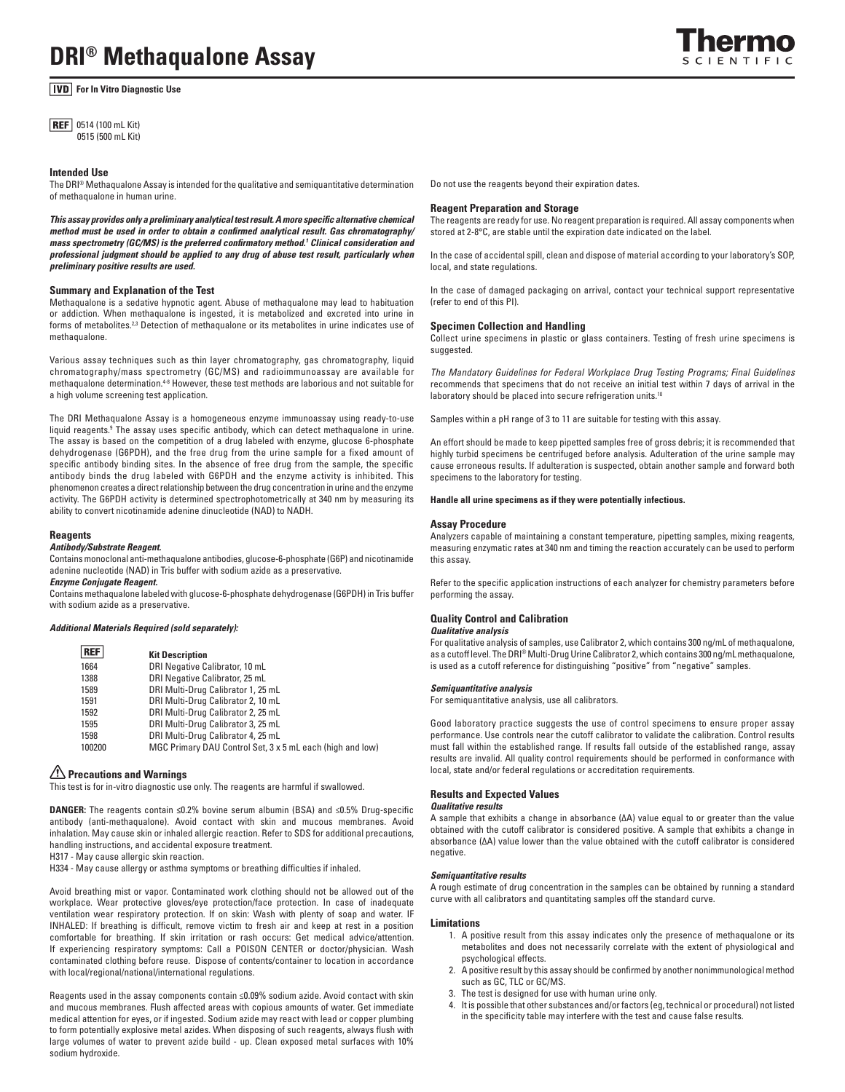# **DRI® Methaqualone Assay**

# **For In Vitro Diagnostic Use**

**REF** 0514 (100 mL Kit) 0515 (500 mL Kit)

#### **Intended Use**

The DRI® Methaqualone Assay is intended for the qualitative and semiquantitative determination of methaqualone in human urine.

*This assay provides only a preliminary analytical test result. A more specific alternative chemical method must be used in order to obtain a confirmed analytical result. Gas chromatography/ mass spectrometry (GC/MS) is the preferred confirmatory method.1 Clinical consideration and professional judgment should be applied to any drug of abuse test result, particularly when preliminary positive results are used.*

#### **Summary and Explanation of the Test**

Methaqualone is a sedative hypnotic agent. Abuse of methaqualone may lead to habituation or addiction. When methaqualone is ingested, it is metabolized and excreted into urine in forms of metabolites.<sup>2,3</sup> Detection of methaqualone or its metabolites in urine indicates use of methaqualone.

Various assay techniques such as thin layer chromatography, gas chromatography, liquid chromatography/mass spectrometry (GC/MS) and radioimmunoassay are available for methaqualone determination.4-8 However, these test methods are laborious and not suitable for a high volume screening test application.

The DRI Methaqualone Assay is a homogeneous enzyme immunoassay using ready-to-use liquid reagents.<sup>9</sup> The assay uses specific antibody, which can detect methaqualone in urine. The assay is based on the competition of a drug labeled with enzyme, glucose 6-phosphate dehydrogenase (G6PDH), and the free drug from the urine sample for a fixed amount of specific antibody binding sites. In the absence of free drug from the sample, the specific antibody binds the drug labeled with G6PDH and the enzyme activity is inhibited. This phenomenon creates a direct relationship between the drug concentration in urine and the enzyme activity. The G6PDH activity is determined spectrophotometrically at 340 nm by measuring its ability to convert nicotinamide adenine dinucleotide (NAD) to NADH.

#### **Reagents**

### *Antibody/Substrate Reagent.*

Contains monoclonal anti-methaqualone antibodies, glucose-6-phosphate (G6P) and nicotinamide adenine nucleotide (NAD) in Tris buffer with sodium azide as a preservative.

*Enzyme Conjugate Reagent.* 

Contains methaqualone labeled with glucose-6-phosphate dehydrogenase (G6PDH) in Tris buffer with sodium azide as a preservative.

#### *Additional Materials Required (sold separately):*

| <b>REF</b> | <b>Kit Description</b>                                    |
|------------|-----------------------------------------------------------|
| 1664       | DRI Negative Calibrator, 10 mL                            |
| 1388       | DRI Negative Calibrator, 25 mL                            |
| 1589       | DRI Multi-Drug Calibrator 1, 25 mL                        |
| 1591       | DRI Multi-Drug Calibrator 2, 10 mL                        |
| 1592       | DRI Multi-Drug Calibrator 2, 25 mL                        |
| 1595       | DRI Multi-Drug Calibrator 3, 25 mL                        |
| 1598       | DRI Multi-Drug Calibrator 4, 25 mL                        |
| 100200     | MGC Primary DAU Control Set, 3 x 5 mL each (high and low) |

# **Precautions and Warnings**

This test is for in-vitro diagnostic use only. The reagents are harmful if swallowed.

**DANGER:** The reagents contain **≤**0.2% bovine serum albumin (BSA) and ≤0.5% Drug-specific antibody (anti-methaqualone). Avoid contact with skin and mucous membranes. Avoid inhalation. May cause skin or inhaled allergic reaction. Refer to SDS for additional precautions, handling instructions, and accidental exposure treatment.

H317 - May cause allergic skin reaction.

H334 - May cause allergy or asthma symptoms or breathing difficulties if inhaled.

Avoid breathing mist or vapor. Contaminated work clothing should not be allowed out of the workplace. Wear protective gloves/eye protection/face protection. In case of inadequate ventilation wear respiratory protection. If on skin: Wash with plenty of soap and water. IF INHALED: If breathing is difficult, remove victim to fresh air and keep at rest in a position comfortable for breathing. If skin irritation or rash occurs: Get medical advice/attention. If experiencing respiratory symptoms: Call a POISON CENTER or doctor/physician. Wash contaminated clothing before reuse. Dispose of contents/container to location in accordance with local/regional/national/international regulations.

Reagents used in the assay components contain ≤0.09% sodium azide. Avoid contact with skin and mucous membranes. Flush affected areas with copious amounts of water. Get immediate medical attention for eyes, or if ingested. Sodium azide may react with lead or copper plumbing to form potentially explosive metal azides. When disposing of such reagents, always flush with large volumes of water to prevent azide build - up. Clean exposed metal surfaces with 10% sodium hydroxide.

Do not use the reagents beyond their expiration dates.

#### **Reagent Preparation and Storage**

The reagents are ready for use. No reagent preparation is required. All assay components when stored at 2-8°C, are stable until the expiration date indicated on the label.

In the case of accidental spill, clean and dispose of material according to your laboratory's SOP, local, and state regulations.

In the case of damaged packaging on arrival, contact your technical support representative (refer to end of this PI).

#### **Specimen Collection and Handling**

Collect urine specimens in plastic or glass containers. Testing of fresh urine specimens is suggested.

*The Mandatory Guidelines for Federal Workplace Drug Testing Programs; Final Guidelines*  recommends that specimens that do not receive an initial test within 7 days of arrival in the laboratory should be placed into secure refrigeration units.<sup>10</sup>

Samples within a pH range of 3 to 11 are suitable for testing with this assay.

An effort should be made to keep pipetted samples free of gross debris; it is recommended that highly turbid specimens be centrifuged before analysis. Adulteration of the urine sample may cause erroneous results. If adulteration is suspected, obtain another sample and forward both specimens to the laboratory for testing.

**Handle all urine specimens as if they were potentially infectious.** 

#### **Assay Procedure**

Analyzers capable of maintaining a constant temperature, pipetting samples, mixing reagents, measuring enzymatic rates at 340 nm and timing the reaction accurately can be used to perform this assay.

Refer to the specific application instructions of each analyzer for chemistry parameters before performing the assay.

# **Quality Control and Calibration**

#### *Qualitative analysis*

For qualitative analysis of samples, use Calibrator 2, which contains 300 ng/mL of methaqualone, as a cutoff level. The DRI® Multi-Drug Urine Calibrator 2, which contains 300 ng/mL methaqualone, is used as a cutoff reference for distinguishing "positive" from "negative" samples.

#### *Semiquantitative analysis*

For semiquantitative analysis, use all calibrators.

Good laboratory practice suggests the use of control specimens to ensure proper assay performance. Use controls near the cutoff calibrator to validate the calibration. Control results must fall within the established range. If results fall outside of the established range, assay results are invalid. All quality control requirements should be performed in conformance with local, state and/or federal regulations or accreditation requirements.

### **Results and Expected Values**

#### *Qualitative results*

A sample that exhibits a change in absorbance (∆A) value equal to or greater than the value obtained with the cutoff calibrator is considered positive. A sample that exhibits a change in absorbance (∆A) value lower than the value obtained with the cutoff calibrator is considered negative.

#### *Semiquantitative results*

A rough estimate of drug concentration in the samples can be obtained by running a standard curve with all calibrators and quantitating samples off the standard curve.

#### **Limitations**

- 1. A positive result from this assay indicates only the presence of methaqualone or its metabolites and does not necessarily correlate with the extent of physiological and psychological effects.
- 2. A positive result by this assay should be confirmed by another nonimmunological method such as GC, TLC or GC/MS.
- 3. The test is designed for use with human urine only.
- 4. It is possible that other substances and/or factors (eg, technical or procedural) not listed in the specificity table may interfere with the test and cause false results.